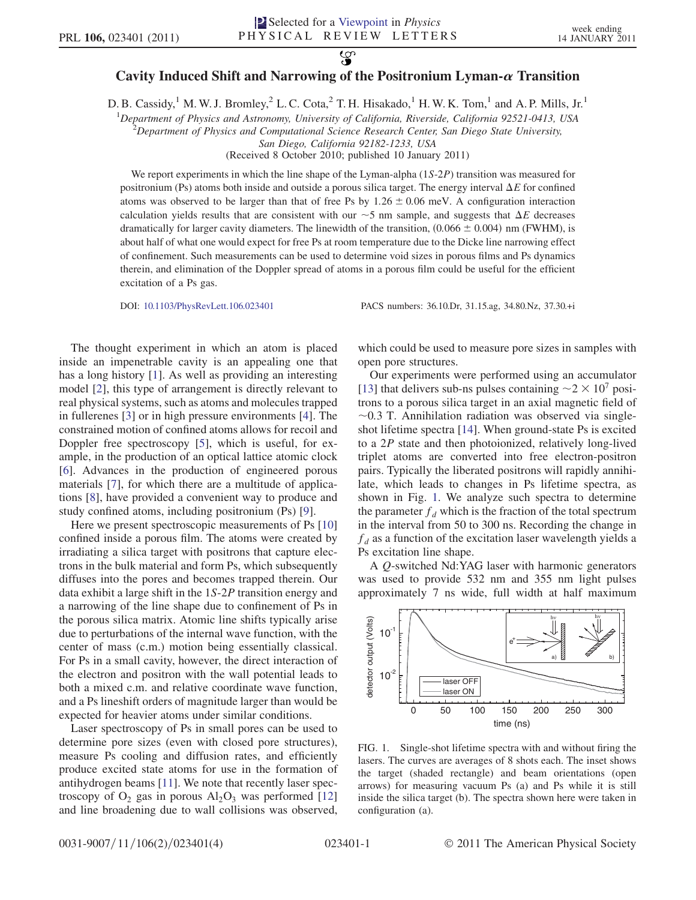## $\mathcal{L}$ Cavity Induced Shift and Narrowing of the Positronium Lyman- $\alpha$  Transition

D. B. Cassidy,<sup>1</sup> M. W. J. Bromley,<sup>2</sup> L. C. Cota,<sup>2</sup> T. H. Hisakado,<sup>1</sup> H. W. K. Tom,<sup>1</sup> and A. P. Mills, Jr.<sup>1</sup>

<sup>1</sup>Department of Physics and Astronomy, University of California, Riverside, California 92521-0413, USA <sup>2</sup>Department of Physics and Computational Science Research Center San Diego State University

 $P^2$ Department of Physics and Computational Science Research Center, San Diego State University,

San Diego, California 92182-1233, USA

(Received 8 October 2010; published 10 January 2011)

We report experiments in which the line shape of the Lyman-alpha (1S-2P) transition was measured for positronium (Ps) atoms both inside and outside a porous silica target. The energy interval  $\Delta E$  for confined atoms was observed to be larger than that of free Ps by  $1.26 \pm 0.06$  meV. A configuration interaction calculation yields results that are consistent with our  $\sim$  5 nm sample, and suggests that  $\Delta E$  decreases dramatically for larger cavity diameters. The linewidth of the transition (0.066 + 0.004) nm (EWHM) is dramatically for larger cavity diameters. The linewidth of the transition,  $(0.066 \pm 0.004)$  nm (FWHM), is about half of what one would expect for free Ps at room temperature due to the Dicke line narrowing effect of confinement. Such measurements can be used to determine void sizes in porous films and Ps dynamics therein, and elimination of the Doppler spread of atoms in a porous film could be useful for the efficient excitation of a Ps gas.

DOI: [10.1103/PhysRevLett.106.023401](http://dx.doi.org/10.1103/PhysRevLett.106.023401) PACS numbers: 36.10.Dr, 31.15.ag, 34.80.Nz, 37.30.+i

The thought experiment in which an atom is placed inside an impenetrable cavity is an appealing one that has a long history [\[1](#page-3-0)]. As well as providing an interesting model [[2](#page-3-1)], this type of arrangement is directly relevant to real physical systems, such as atoms and molecules trapped in fullerenes [[3\]](#page-3-2) or in high pressure environments [[4\]](#page-3-3). The constrained motion of confined atoms allows for recoil and Doppler free spectroscopy [\[5](#page-3-4)], which is useful, for example, in the production of an optical lattice atomic clock [\[6\]](#page-3-5). Advances in the production of engineered porous materials [[7\]](#page-3-6), for which there are a multitude of applications [[8](#page-3-7)], have provided a convenient way to produce and study confined atoms, including positronium (Ps) [[9](#page-3-8)].

Here we present spectroscopic measurements of Ps [\[10\]](#page-3-9) confined inside a porous film. The atoms were created by irradiating a silica target with positrons that capture electrons in the bulk material and form Ps, which subsequently diffuses into the pores and becomes trapped therein. Our data exhibit a large shift in the 1S-2<sup>P</sup> transition energy and a narrowing of the line shape due to confinement of Ps in the porous silica matrix. Atomic line shifts typically arise due to perturbations of the internal wave function, with the center of mass (c.m.) motion being essentially classical. For Ps in a small cavity, however, the direct interaction of the electron and positron with the wall potential leads to both a mixed c.m. and relative coordinate wave function, and a Ps lineshift orders of magnitude larger than would be expected for heavier atoms under similar conditions.

Laser spectroscopy of Ps in small pores can be used to determine pore sizes (even with closed pore structures), measure Ps cooling and diffusion rates, and efficiently produce excited state atoms for use in the formation of antihydrogen beams [\[11\]](#page-3-10). We note that recently laser spectroscopy of  $O_2$  gas in porous  $Al_2O_3$  was performed [\[12\]](#page-3-11) and line broadening due to wall collisions was observed, which could be used to measure pore sizes in samples with open pore structures.

Our experiments were performed using an accumulator [\[13\]](#page-3-12) that delivers sub-ns pulses containing  $\sim$  2  $\times$  10<sup>7</sup> positions to a porous silica target in an axial magnetic field of trons to a porous silica target in an axial magnetic field of shot lifetime spectra [\[14\]](#page-3-13). When ground-state Ps is excited  $\sim$ 0.3 T. Annihilation radiation was observed via singleto a 2<sup>P</sup> state and then photoionized, relatively long-lived triplet atoms are converted into free electron-positron pairs. Typically the liberated positrons will rapidly annihilate, which leads to changes in Ps lifetime spectra, as shown in Fig. [1](#page-0-0). We analyze such spectra to determine the parameter  $f_d$  which is the fraction of the total spectrum in the interval from 50 to 300 ns. Recording the change in  $f_d$  as a function of the excitation laser wavelength yields a Ps excitation line shape.

A Q-switched Nd:YAG laser with harmonic generators was used to provide 532 nm and 355 nm light pulses approximately 7 ns wide, full width at half maximum

<span id="page-0-0"></span>

FIG. 1. Single-shot lifetime spectra with and without firing the lasers. The curves are averages of 8 shots each. The inset shows the target (shaded rectangle) and beam orientations (open arrows) for measuring vacuum Ps (a) and Ps while it is still inside the silica target (b). The spectra shown here were taken in configuration (a).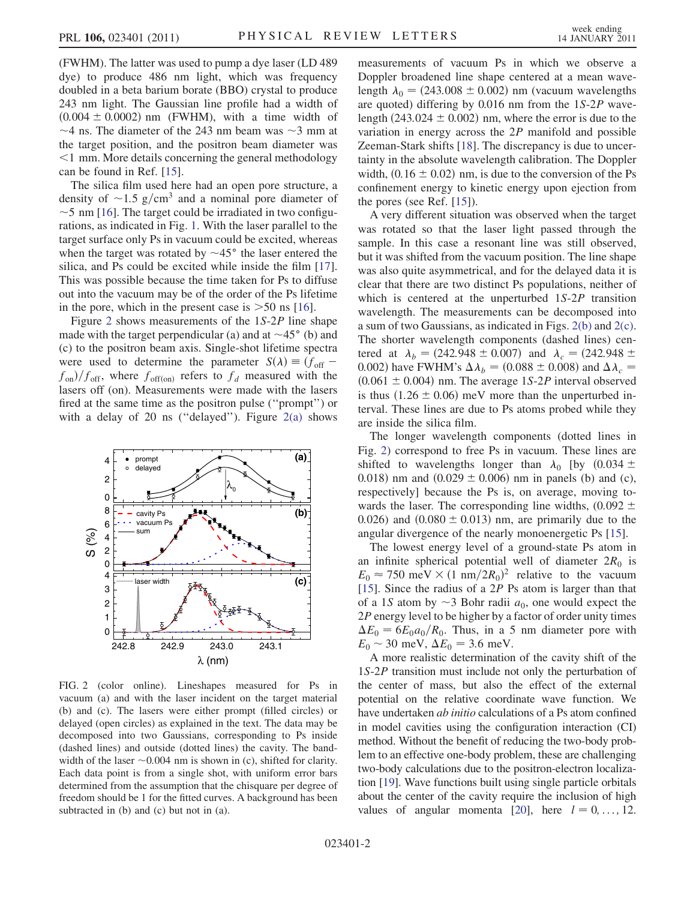(FWHM). The latter was used to pump a dye laser (LD 489 dye) to produce 486 nm light, which was frequency doubled in a beta barium borate (BBO) crystal to produce 243 nm light. The Gaussian line profile had a width of  $(0.004 \pm 0.0002)$  nm (FWHM), with a time width of the target position, and the positron beam diameter was 4 ns. The diameter of the 243 nm beam was  $\sim$ 3 mm at a target position and the positron beam diameter was <sup>&</sup>lt;1 mm. More details concerning the general methodology can be found in Ref. [\[15\]](#page-3-14).

The silica film used here had an open pore structure, a density of  $\sim$ 1.5 g/cm<sup>3</sup> and a nominal pore diameter of  $\sim$ 5 nm [16]. The target could be irradiated in two configu--rations, as indicated in Fig. [1](#page-0-0). With the laser parallel to the  $\sim$  5 nm [[16](#page-3-15)]. The target could be irradiated in two configutarget surface only Ps in vacuum could be excited, whereas when the target was rotated by  $\sim$ 45 $\degree$  the laser entered the silica, and Ps could be excited while inside the film [17] silica, and Ps could be excited while inside the film [\[17\]](#page-3-16). This was possible because the time taken for Ps to diffuse out into the vacuum may be of the order of the Ps lifetime in the pore, which in the present case is  $>50$  ns [[16](#page-3-15)].

Figure [2](#page-1-0) shows measurements of the 1S-2<sup>P</sup> line shape made with the target perpendicular (a) and at  $\sim$ 45° (b) and  $(c)$  to the positron beam axis. Single-shot lifetime spectra (c) to the positron beam axis. Single-shot lifetime spectra were used to determine the parameter  $S(\lambda) \equiv (f_{\text{off}}$  $f_{on}$ )/ $f_{off}$ , where  $f_{off}(on)$  refers to  $f_d$  measured with the lasers of  $f_{on}$ ). Measurements were made with the lasers lasers off (on). Measurements were made with the lasers fired at the same time as the positron pulse (''prompt'') or with a delay of 20 ns ("delayed"). Figure  $2(a)$  shows

<span id="page-1-0"></span>

<span id="page-1-1"></span>FIG. 2 (color online). Lineshapes measured for Ps in vacuum (a) and with the laser incident on the target material (b) and (c). The lasers were either prompt (filled circles) or delayed (open circles) as explained in the text. The data may be decomposed into two Gaussians, corresponding to Ps inside (dashed lines) and outside (dotted lines) the cavity. The bandwidth of the laser  $\sim 0.004$  nm is shown in (c), shifted for clarity.<br>Each data point is from a single shot with uniform error bars Each data point is from a single shot, with uniform error bars determined from the assumption that the chisquare per degree of freedom should be 1 for the fitted curves. A background has been subtracted in (b) and (c) but not in (a).

measurements of vacuum Ps in which we observe a Doppler broadened line shape centered at a mean wavelength  $\lambda_0 = (243.008 \pm 0.002)$  nm (vacuum wavelengths are quoted) differing by 0.016 nm from the 1S-2<sup>P</sup> wavelength  $(243.024 \pm 0.002)$  nm, where the error is due to the variation in energy across the 2<sup>P</sup> manifold and possible Zeeman-Stark shifts [\[18\]](#page-3-17). The discrepancy is due to uncertainty in the absolute wavelength calibration. The Doppler width,  $(0.16 \pm 0.02)$  nm, is due to the conversion of the Ps confinement energy to kinetic energy upon ejection from the pores (see Ref. [[15](#page-3-14)]).

A very different situation was observed when the target was rotated so that the laser light passed through the sample. In this case a resonant line was still observed, but it was shifted from the vacuum position. The line shape was also quite asymmetrical, and for the delayed data it is clear that there are two distinct Ps populations, neither of which is centered at the unperturbed 1S-2<sup>P</sup> transition wavelength. The measurements can be decomposed into a sum of two Gaussians, as indicated in Figs. [2\(b\)](#page-1-1) and [2\(c\)](#page-1-1). The shorter wavelength components (dashed lines) centered at  $\lambda_b = (242.948 \pm 0.007)$  and  $\lambda_c = (242.948 \pm 0.007)$ 0.002) have FWHM's  $\Delta \lambda_b = (0.088 \pm 0.008)$  and  $\Delta \lambda_c =$  $(0.061 \pm 0.004)$  nm. The average 1S-2P interval observed is thus  $(1.26 \pm 0.06)$  meV more than the unperturbed interval. These lines are due to Ps atoms probed while they are inside the silica film.

The longer wavelength components (dotted lines in Fig. [2\)](#page-1-0) correspond to free Ps in vacuum. These lines are shifted to wavelengths longer than  $\lambda_0$  [by  $(0.034 \pm$ 0.018) nm and  $(0.029 \pm 0.006)$  nm in panels (b) and (c), respectively] because the Ps is, on average, moving towards the laser. The corresponding line widths,  $(0.092 \pm$ 0.026) and  $(0.080 \pm 0.013)$  nm, are primarily due to the angular divergence of the nearly monoenergetic Ps [[15](#page-3-14)].

The lowest energy level of a ground-state Ps atom in an infinite spherical potential well of diameter  $2R_0$  is  $E_0 \approx 750 \text{ meV} \times (1 \text{ nm}/2R_0)^2$  relative to the vacuum<br>[15] Since the radius of a 2P Ps atom is larger than that [\[15\]](#page-3-14). Since the radius of a 2<sup>P</sup> Ps atom is larger than that of a 1S atom by  $\sim$  3 Bohr radii  $a_0$ , one would expect the 2P energy level to be higher by a factor of order unity times 2P energy level to be higher by a factor of order unity times  $\Delta E_0 = 6E_0a_0/R_0$ . Thus, in a 5 nm diameter pore with  $E_0 \sim 30$  meV,  $\Delta E_0 = 3.6$  meV.<br>A more realistic determination

A more realistic determination of the cavity shift of the 1S-2<sup>P</sup> transition must include not only the perturbation of the center of mass, but also the effect of the external potential on the relative coordinate wave function. We have undertaken ab initio calculations of a Ps atom confined in model cavities using the configuration interaction (CI) method. Without the benefit of reducing the two-body problem to an effective one-body problem, these are challenging two-body calculations due to the positron-electron localization [\[19](#page-3-18)]. Wave functions built using single particle orbitals about the center of the cavity require the inclusion of high values of angular momenta [\[20](#page-3-19)], here  $l = 0, \ldots, 12$ .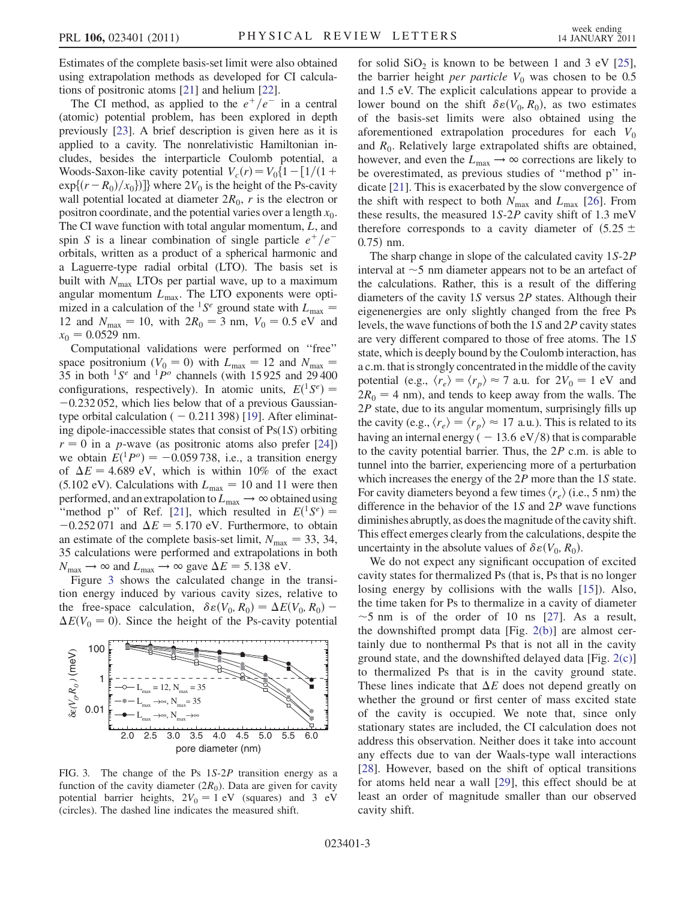Estimates of the complete basis-set limit were also obtained using extrapolation methods as developed for CI calculations of positronic atoms [\[21](#page-3-20)] and helium [[22\]](#page-3-21).

The CI method, as applied to the  $e^+/e^-$  in a central (atomic) potential problem, has been explored in depth previously [[23\]](#page-3-22). A brief description is given here as it is applied to a cavity. The nonrelativistic Hamiltonian includes, besides the interparticle Coulomb potential, a Woods-Saxon-like cavity potential  $V_c(r) = V_0\{1 - \frac{1}{1 + \epsilon}\}$  $\exp\{(r-R_0)/x_0\})$  where  $2V_0$  is the height of the Ps-cavity wall potential located at diameter  $2R_0$ , r is the electron or positron coordinate, and the potential varies over a length  $x_0$ . The CI wave function with total angular momentum, L, and spin S is a linear combination of single particle  $e^+/e^$ orbitals, written as a product of a spherical harmonic and a Laguerre-type radial orbital (LTO). The basis set is built with  $N_{\text{max}}$  LTOs per partial wave, up to a maximum angular momentum  $L_{\text{max}}$ . The LTO exponents were optimized in a calculation of the <sup>1</sup>S<sup>e</sup> ground state with  $L_{\text{max}} =$ 12 and  $N_{\text{max}} = 10$ , with  $2R_0 = 3$  nm,  $V_0 = 0.5$  eV and  $x_0 = 0.0529$  nm.<br>Computational

Computational validations were performed on ''free'' space positronium ( $V_0 = 0$ ) with  $L_{\text{max}} = 12$  and  $N_{\text{max}} =$ 35 in both  ${}^{1}S^{e}$  and  ${}^{1}P^{o}$  channels (with 15925 and 29400 configurations, respectively). In atomic units,  $E({}^{1}S^{e}) =$  -0.232.052 which lies below that of a previous Gaussian- $-0.232 052$ , which lies below that of a previous Gaussiantype orbital calculation  $(-0.211\,398)$  [[19\]](#page-3-18). After eliminating dipole-inaccessible states that consist of Ps(1S) orbiting  $r = 0$  in a *p*-wave (as positronic atoms also prefer [\[24](#page-3-23)]) we obtain  $E(^{1}P^{\circ}) = -0.059738$ , i.e., a transition energy<br>of  $\Delta F = 4.689$  eV, which is within 10% of the exact of  $\Delta E = 4.689$  eV, which is within 10% of the exact (5.102 eV). Calculations with  $L_{\text{max}} = 10$  and 11 were then performed, and an extrapolation to  $L_{\text{max}} \rightarrow \infty$  obtained using "method p" of Ref. [[21\]](#page-3-20), which resulted in  $E(^{1}S^{e}) =$  -0.252.071 and  $\Delta F = 5.170$  eV. Furthermore to obtain  $-0.252 071$  and  $\Delta E = 5.170$  eV. Furthermore, to obtain an estimate of the complete basis-set limit,  $N_{\text{max}} = 33, 34,$ 35 calculations were performed and extrapolations in both  $N_{\text{max}} \rightarrow \infty$  and  $L_{\text{max}} \rightarrow \infty$  gave  $\Delta E = 5.138$  eV.<br>Figure 3 shows the calculated change in the

Figure [3](#page-2-0) shows the calculated change in the transition energy induced by various cavity sizes, relative to the free-space calculation,  $\delta \varepsilon (V_0, R_0) = \Delta E(V_0, R_0) - \Delta F(V_0 = 0)$ . Since the height of the Ps-cavity potential  $\Delta E(V_0 = 0)$ . Since the height of the Ps-cavity potential

<span id="page-2-0"></span>

FIG. 3. The change of the Ps 1S-2<sup>P</sup> transition energy as a function of the cavity diameter  $(2R_0)$ . Data are given for cavity potential barrier heights,  $2V_0 = 1$  eV (squares) and 3 eV (circles). The dashed line indicates the measured shift.

for solid  $SiO<sub>2</sub>$  is known to be between 1 and 3 eV [[25\]](#page-3-24), the barrier height *per particle*  $V_0$  was chosen to be 0.5 and 1.5 eV. The explicit calculations appear to provide a lower bound on the shift  $\delta \varepsilon(V_0, R_0)$ , as two estimates<br>of the basis-set limits were also obtained using the of the basis-set limits were also obtained using the aforementioned extrapolation procedures for each  $V_0$ and  $R_0$ . Relatively large extrapolated shifts are obtained, however, and even the  $L_{\text{max}} \rightarrow \infty$  corrections are likely to be overestimated, as previous studies of ''method p'' indicate [[21](#page-3-20)]. This is exacerbated by the slow convergence of the shift with respect to both  $N_{\text{max}}$  and  $L_{\text{max}}$  [[26](#page-3-25)]. From these results, the measured 1S-2<sup>P</sup> cavity shift of 1.3 meV therefore corresponds to a cavity diameter of  $(5.25 \pm$  $0.75$  nm.

The sharp change in slope of the calculated cavity 1S-2<sup>P</sup> interval at  $\sim$  5 nm diameter appears not to be an artefact of the calculations. Rather, this is a result of the differing the calculations. Rather, this is a result of the differing diameters of the cavity 1<sup>S</sup> versus 2<sup>P</sup> states. Although their eigenenergies are only slightly changed from the free Ps levels, the wave functions of both the 1<sup>S</sup> and 2<sup>P</sup> cavity states are very different compared to those of free atoms. The 1<sup>S</sup> state, which is deeply bound by the Coulomb interaction, has a c.m. that is strongly concentrated in the middle of the cavity potential (e.g.,  $\langle r_e \rangle = \langle r_p \rangle \approx 7$  a.u. for  $2V_0 = 1$  eV and  $2R_0 = 4$  nm), and tends to keep away from the walls. The  $2P$  state, due to its angular momentum, surprisingly fills up the cavity (e.g.,  $\langle r_e \rangle = \langle r_n \rangle \approx 17$  a.u.). This is related to its having an internal energy (  $-13.6 \text{ eV}/8$ ) that is comparable to the cavity potential barrier. Thus, the  $2P$  c.m. is able to tunnel into the barrier, experiencing more of a perturbation which increases the energy of the 2P more than the 1S state. For cavity diameters beyond a few times  $\langle r_e \rangle$  (i.e., 5 nm) the difference in the behavior of the 1<sup>S</sup> and 2<sup>P</sup> wave functions diminishes abruptly, as does the magnitude of the cavity shift. This effect emerges clearly from the calculations, despite the uncertainty in the absolute values of  $\delta \varepsilon(V_0, R_0)$ .<br>We do not expect any significant occupation

We do not expect any significant occupation of excited cavity states for thermalized Ps (that is, Ps that is no longer losing energy by collisions with the walls [[15\]](#page-3-14)). Also, the time taken for Ps to thermalize in a cavity of diameter -the downshifted prompt data [Fig. [2\(b\)](#page-1-1)] are almost cer- $\sim$ 5 nm is of the order of 10 ns [\[27\]](#page-3-26). As a result, tainly due to nonthermal Ps that is not all in the cavity ground state, and the downshifted delayed data [Fig. [2\(c\)\]](#page-1-1) to thermalized Ps that is in the cavity ground state. These lines indicate that  $\Delta E$  does not depend greatly on whether the ground or first center of mass excited state of the cavity is occupied. We note that, since only stationary states are included, the CI calculation does not address this observation. Neither does it take into account any effects due to van der Waals-type wall interactions [\[28\]](#page-3-27). However, based on the shift of optical transitions for atoms held near a wall [[29](#page-3-28)], this effect should be at least an order of magnitude smaller than our observed cavity shift.